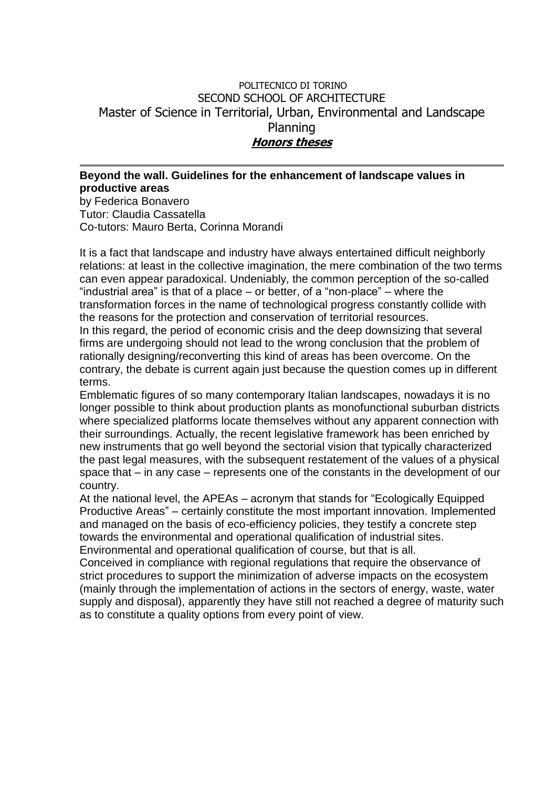## POLITECNICO DI TORINO SECOND SCHOOL OF ARCHITECTURE Master of Science in Territorial, Urban, Environmental and Landscape Planning **Honors theses**

## **Beyond the wall. Guidelines for the enhancement of landscape values in productive areas**

by Federica Bonavero Tutor: Claudia Cassatella Co-tutors: Mauro Berta, Corinna Morandi

It is a fact that landscape and industry have always entertained difficult neighborly relations: at least in the collective imagination, the mere combination of the two terms can even appear paradoxical. Undeniably, the common perception of the so-called "industrial area" is that of a place – or better, of a "non-place" – where the transformation forces in the name of technological progress constantly collide with the reasons for the protection and conservation of territorial resources. In this regard, the period of economic crisis and the deep downsizing that several firms are undergoing should not lead to the wrong conclusion that the problem of rationally designing/reconverting this kind of areas has been overcome. On the contrary, the debate is current again just because the question comes up in different terms.

Emblematic figures of so many contemporary Italian landscapes, nowadays it is no longer possible to think about production plants as monofunctional suburban districts where specialized platforms locate themselves without any apparent connection with their surroundings. Actually, the recent legislative framework has been enriched by new instruments that go well beyond the sectorial vision that typically characterized the past legal measures, with the subsequent restatement of the values of a physical space that – in any case – represents one of the constants in the development of our country.

At the national level, the APEAs – acronym that stands for "Ecologically Equipped Productive Areas" – certainly constitute the most important innovation. Implemented and managed on the basis of eco-efficiency policies, they testify a concrete step towards the environmental and operational qualification of industrial sites. Environmental and operational qualification of course, but that is all.

Conceived in compliance with regional regulations that require the observance of strict procedures to support the minimization of adverse impacts on the ecosystem (mainly through the implementation of actions in the sectors of energy, waste, water supply and disposal), apparently they have still not reached a degree of maturity such as to constitute a quality options from every point of view.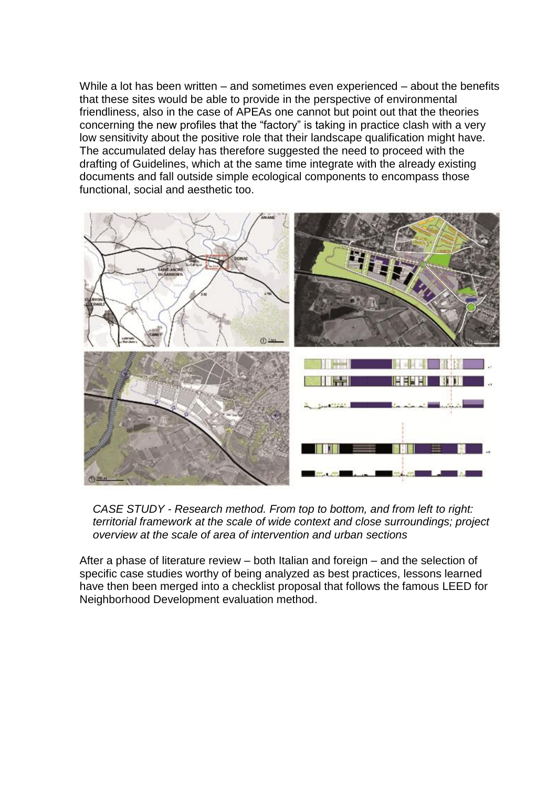While a lot has been written – and sometimes even experienced – about the benefits that these sites would be able to provide in the perspective of environmental friendliness, also in the case of APEAs one cannot but point out that the theories concerning the new profiles that the "factory" is taking in practice clash with a very low sensitivity about the positive role that their landscape qualification might have. The accumulated delay has therefore suggested the need to proceed with the drafting of Guidelines, which at the same time integrate with the already existing documents and fall outside simple ecological components to encompass those functional, social and aesthetic too.



*CASE STUDY - Research method. From top to bottom, and from left to right: territorial framework at the scale of wide context and close surroundings; project overview at the scale of area of intervention and urban sections*

After a phase of literature review – both Italian and foreign – and the selection of specific case studies worthy of being analyzed as best practices, lessons learned have then been merged into a checklist proposal that follows the famous LEED for Neighborhood Development evaluation method.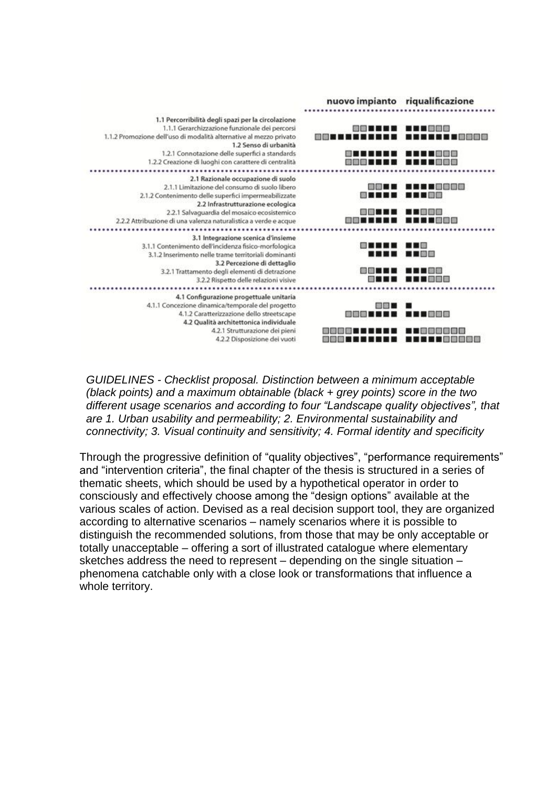

*GUIDELINES - Checklist proposal. Distinction between a minimum acceptable (black points) and a maximum obtainable (black + grey points) score in the two different usage scenarios and according to four "Landscape quality objectives", that are 1. Urban usability and permeability; 2. Environmental sustainability and connectivity; 3. Visual continuity and sensitivity; 4. Formal identity and specificity*

Through the progressive definition of "quality objectives", "performance requirements" and "intervention criteria", the final chapter of the thesis is structured in a series of thematic sheets, which should be used by a hypothetical operator in order to consciously and effectively choose among the "design options" available at the various scales of action. Devised as a real decision support tool, they are organized according to alternative scenarios – namely scenarios where it is possible to distinguish the recommended solutions, from those that may be only acceptable or totally unacceptable – offering a sort of illustrated catalogue where elementary sketches address the need to represent – depending on the single situation – phenomena catchable only with a close look or transformations that influence a whole territory.